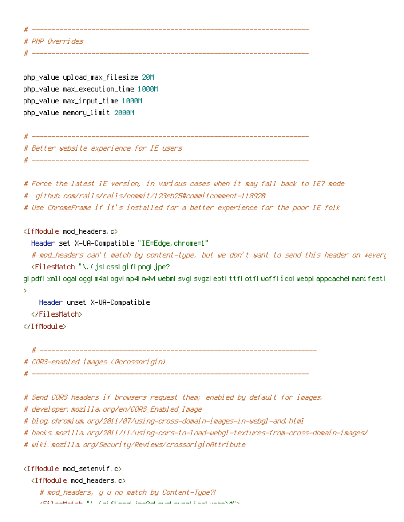# ---------------------------------------------------------------------- # PHP Overrides # --------------------------------------------------------------------- php\_value upload\_max\_filesize 20M php\_value max\_execution\_time 1000M php\_value max\_input\_time 1000M php\_value memory\_limit 2000M # ---------------------------------------------------------------------- # Better website experience for IE users # ---------------------------------------------------------------------- # Force the latest IE version, in various cases when it may fall back to IE7 mode # github.com/rails/rails/commit/123eb25#commitcomment-118920 # Use ChromeFrame if it's installed for <sup>a</sup> better experience for the poor IE folk <IfModule mod\_headers.c> Header set X-UA-Compatible "IE=Edge,chrome=1" # mod\_headers can't match by content-type, but we don't want to send this header on \*every <FilesMatch "\.(js|css|gif|png|jpe? g|pdf|xml|oga|ogg|m4a|ogv|mp4|m4v|webm|svg|svgz|eot|ttf|otf|woff|ico|webp|appcache|manifest| > Header unset X-UA-Compatible </FilesMatch> </IfModule> # ---------------------------------------------------------------------- # CORS-enabled images (@crossorigin) # ----------------------------------------------------------------------

# Send CORS headers if browsers request them; enabled by default for images.

# developer.mozilla.org/en/CORS\_Enabled\_Image

# blog.chromium.org/2011/07/using-cross-domain-images-in-webgl-and.html

# hacks.mozilla.org/2011/11/using-cors-to-load-webgl-textures-from-cross-domain-images/

# wiki.mozilla.org/Security/Reviews/crossoriginAttribute

 $\langle$ IfModule mod setenvif.c $\rangle$ 

<IfModule mod\_headers.c>

# mod\_headers, y <sup>u</sup> no match by Content-Type?!  $\sqrt{F}$ if at a state  $\sim$  Files Match  $\sim$  for  $\beta$  ing positive  $\beta$  , and  $\beta$  is equal to  $\beta$  is equal to  $\beta$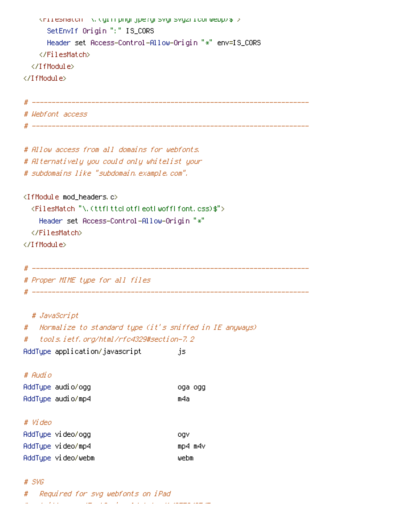```
<FilesMatch "\.(gif|png|jpe?g|svg|svgz|ico|webp)$">
     SetEnvIf Origin ":" IS_CORS
     Header set Access-Control-Allow-Origin "*" env=IS_CORS
   </FilesMatch>
 </IfModule>
</IfModule>
# ----------------------------------------------------------------------
# Webfont access
# ----------------------------------------------------------------------
# Allow access from all domains for webfonts.
# Alternatively you could only whitelist your
# subdomains like "subdomain.example.com".
<IfModule mod_headers.c>
 <FilesMatch "\.(ttf|ttc|otf|eot|woff|font.css)$">
   Header set Access-Control-Allow-Origin "*"
 </FilesMatch>
</IfModule>
# ----------------------------------------------------------------------
# Proper MIME type for all files
# ----------------------------------------------------------------------
 # JavaScript
# Normalize to standard type (it's sniffed in IE anyways)
# tools.ietf.org/html/rfc4329#section-7.2
AddType application/javascript js
# Audio
AddType audio/ogg oga ogg
AddType audio/mp4 m4a
# Video
AddType video/ogg ogv ogv
AddType video/mp4 mp4 m4v
AddType video/webm webm
```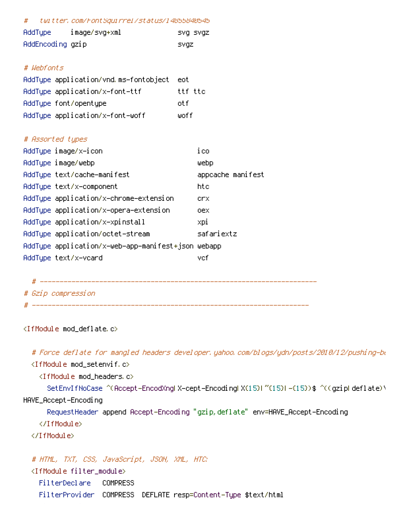| twitter.com/FontSquirrel/status/14855840545<br>#   |                   |  |
|----------------------------------------------------|-------------------|--|
| image/svg+xml<br>AddType                           | SVQ SVQZ          |  |
| AddEncoding gzip                                   | <b>SVQZ</b>       |  |
|                                                    |                   |  |
| # Wehfonts                                         |                   |  |
| AddType application/vnd.ms-fontobject              | eot               |  |
| AddType application/x-font-ttf                     | ttf ttc           |  |
| AddType font/opentype                              | otf               |  |
| AddType application/x-font-woff                    | ⊎off              |  |
|                                                    |                   |  |
| # Assorted types                                   |                   |  |
| AddType image/x-icon                               | ico               |  |
| AddType image/webp                                 | webp              |  |
| AddType text/cache-manifest                        | appcache manifest |  |
| AddType text/x-component                           | htc               |  |
| AddType application/x-chrome-extension             | crx               |  |
| AddType application/x-opera-extension              | oex.              |  |
| AddType application/x-xpinstall                    | хрі               |  |
| AddType application/octet-stream                   | safariextz        |  |
| AddType application/x-web-app-manifest+json webapp |                   |  |
| AddType text/x-vcard                               | vefi              |  |

# ---------------------------------------------------------------------- # Gzip compression

# ----------------------------------------------------------------------

## <IfModule mod\_deflate.c>

# Force deflate for mangled headers developer.yahoo.com/blogs/ydn/posts/2010/12/pushing-be

<IfModule mod\_setenvif.c>

<IfModule mod\_headers.c>

SetEnvIfNoCase ^(Accept-EncodXng|X-cept-Encoding|X{15}|~{15}|-{15})\$ ^((gzip|deflate)\ HAVE\_Accept-Encoding

RequestHeader append Accept-Encoding "gzip,deflate" env=HAVE\_Accept-Encoding

</IfModule>

</IfModule>

# HTML, TXT, CSS, JavaScript, JSON, XML, HTC:

<IfModule filter\_module>

FilterDeclare COMPRESS

FilterProvider COMPRESS DEFLATE resp=Content-Type \$text/html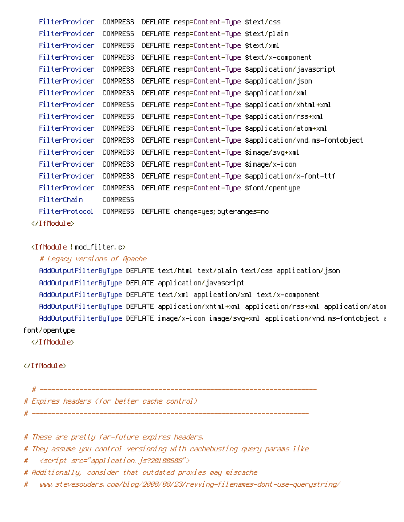FilterProvider COMPRESS DEFLATE resp=Content-Type \$text/css FilterProvider COMPRESS DEFLATE resp=Content-Type \$text/plain FilterProvider COMPRESS DEFLATE resp=Content-Type \$text/xml FilterProvider COMPRESS DEFLATE resp=Content-Type \$text/x-component FilterProvider COMPRESS DEFLATE resp=Content-Type \$application/javascript FilterProvider COMPRESS DEFLATE resp=Content-Type \$application/json FilterProvider COMPRESS DEFLATE resp=Content-Type \$application/xml FilterProvider COMPRESS DEFLATE resp=Content-Type \$application/xhtml+xml FilterProvider COMPRESS DEFLATE resp=Content-Type \$application/rss+xml FilterProvider COMPRESS DEFLATE resp=Content-Type \$application/atom+xml FilterProvider COMPRESS DEFLATE resp=Content-Type \$application/vnd.ms-fontobject FilterProvider COMPRESS DEFLATE resp=Content-Type \$image/svg+xml FilterProvider COMPRESS DEFLATE resp=Content-Type \$image/x-icon FilterProvider COMPRESS DEFLATE resp=Content-Type \$application/x-font-ttf FilterProvider COMPRESS DEFLATE resp=Content-Type \$font/opentype FilterChain COMPRESS FilterProtocol COMPRESS DEFLATE change=yes;byteranges=no </IfModule>

<IfModule !mod\_filter.c>

# Legacy versions of Apache AddOutputFilterByType DEFLATE text/html text/plain text/css application/json AddOutputFilterByType DEFLATE application/javascript AddOutputFilterByType DEFLATE text/xml application/xml text/x-component AddOutputFilterByType DEFLATE application/xhtml+xml application/rss+xml application/atom AddOutputFilterByType DEFLATE image/x-icon image/svg+xml application/vnd.ms-fontobject application font/opentype

</IfModule>

</IfModule>

# ----------------------------------------------------------------------

# Expires headers (for better cache control)

# These are pretty far-future expires headers.

# They assume you control versioning with cachebusting query params like

# ----------------------------------------------------------------------

# <script src="application.js?20100608">

# Additionally, consider that outdated proxies may miscache

# www.stevesouders.com/blog/2008/08/23/revving-filenames-dont-use-querystring/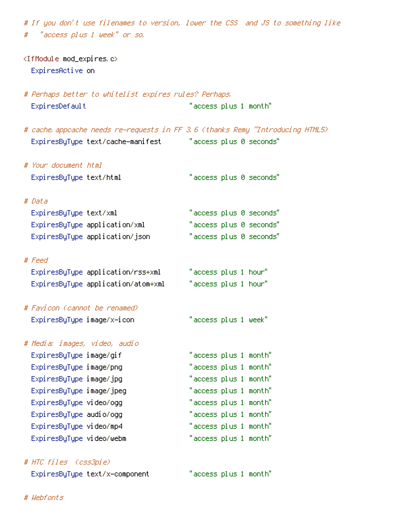# If you don't use filenames to version, lower the CSS and JS to something like # "access plus 1 week" or so.

- <IfModule mod\_expires.c> ExpiresActive on
- # Perhaps better to whitelist expires rules? Perhaps. ExpiresDefault "access plus 1 month"
- # cache.appcache needs re-requests in FF 3.6 (thanks Remy "Introducing HTML5) ExpiresByType text/cache-manifest "access plus 0 seconds"
- # Your document html ExpiresByType text/html "access plus 0 seconds" # Data

| ExpiresByType text/xml         | "access plus 0 seconds" |
|--------------------------------|-------------------------|
| ExpiresByType application/xml  | "access plus 0 seconds" |
| ExpiresByType application/json | "access plus 0 seconds" |

# Feed

| ExpiresByType application/rss+xml  | "access plus 1 hour" |
|------------------------------------|----------------------|
| ExpiresByType application/atom+xml | "access plus 1 hour" |

# Favicon (cannot be renamed) ExpiresByType image/x-icon "access plus 1 week"

# Media: images, video, audio ExpiresByType image/gif ExpiresByType image/png ExpiresByType image/jpg ExpiresByType image/jpeg ExpiresByType video/ogg ExpiresByType audio/ogg ExpiresByType video/mp4 ExpiresByType video/webm "access plus 1 month"

# HTC files (css3pie) ExpiresByType text/x-component "access plus 1 month"

| "access plus 1 month"                           |  |  |
|-------------------------------------------------|--|--|
| "access plus 1 month"                           |  |  |
| "access plus 1 month"                           |  |  |
| "access plus 1 month"                           |  |  |
| "access plus 1 month"                           |  |  |
| "access plus 1 month"                           |  |  |
| "access plus 1 month"                           |  |  |
| $\mathrm{''}$ accass olus 1 month $\mathrm{''}$ |  |  |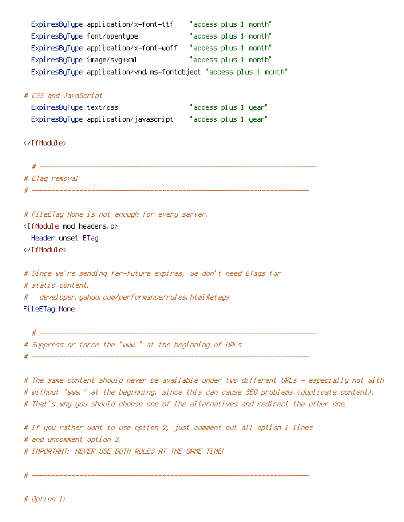| ExpiresByType application/x-font-ttf                                                      | "access plus 1 month" |
|-------------------------------------------------------------------------------------------|-----------------------|
| ExpiresByType font/opentype                                                               | "access plus 1 month" |
| ExpiresByType application/x-font-woff "access plus 1 month"                               |                       |
| ExpiresByType image/svg+xml                                                               | "access plus 1 month" |
| ExpiresByType application/vnd.ms-fontobject "access plus 1 month"                         |                       |
|                                                                                           |                       |
| # CSS and JavaScript                                                                      |                       |
| ExpiresByType text/css                                                                    | "access plus 1 year"  |
|                                                                                           |                       |
|                                                                                           |                       |
|                                                                                           |                       |
|                                                                                           |                       |
|                                                                                           |                       |
| # ETag removal                                                                            |                       |
|                                                                                           |                       |
|                                                                                           |                       |
| # FileETag None is not enough for every server.<br><ifmodule mod_headers.c=""></ifmodule> |                       |
| Header unset ETag                                                                         |                       |
|                                                                                           |                       |
|                                                                                           |                       |
| # Since we're sending far-future expires, we don't need ETags for                         |                       |
| # static content.                                                                         |                       |
| # developer, yahoo, com/performance/rules, html#etags                                     |                       |
| FileETag None                                                                             |                       |
|                                                                                           |                       |
|                                                                                           |                       |
| # Suppress or force the "www." at the beginning of URLs                                   |                       |

# ----------------------------------------------------------------------

# The same content should never be available under two different URLs - especially not with # without "www." at the beginning, since this can cause SEO problems (duplicate content). # That's why you should choose one of the alternatives and redirect the other one.

# If you rather want to use option 2, just comment out all option 1 lines # and uncomment option 2. # IMPORTANT: NEVER USE BOTH RULES AT THE SAME TIME!

# ----------------------------------------------------------------------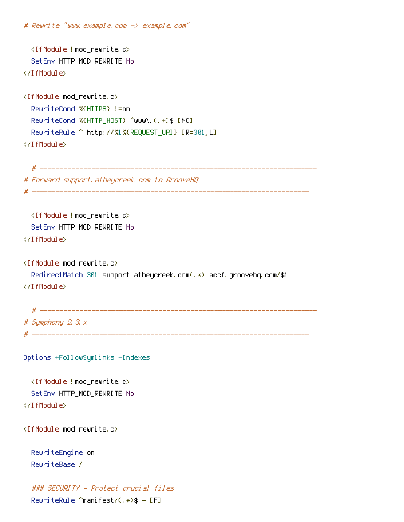```
# Rewrite "www.example.com -> example.com"
  <IfModule !mod_rewrite.c>
  SetEnv HTTP_MOD_REWRITE No
</IfModule>
<IfModule mod_rewrite.c>
  RewriteCond %{HTTPS} !=on
  RewriteCond %(HTTP_HOST) ^www\.(.+)$ [NC]
  RewriteRule ^ http://%1%{REQUEST_URI} [R=301,L]
</IfModule>
  # ----------------------------------------------------------------------
# Forward support.atheycreek.com to GrooveHQ
# ----------------------------------------------------------------------
  <IfModule !mod_rewrite.c>
  SetEnv HTTP_MOD_REWRITE No
</IfModule>
<IfModule mod_rewrite.c>
  RedirectMatch 301 support.atheycreek.com(.*) accf.groovehq.com/$1
</IfModule>
  # ----------------------------------------------------------------------
# Symphony 2.3.x
# ----------------------------------------------------------------------
Options +FollowSymlinks -Indexes
  <IfModule !mod_rewrite.c>
  SetEnv HTTP_MOD_REWRITE No
</IfModule>
<IfModule mod_rewrite.c>
  RewriteEngine on
  RewriteBase /
  ### SECURITY - Protect crucial files
  RewriteRule ^manifest/(.*)$ - [F]
```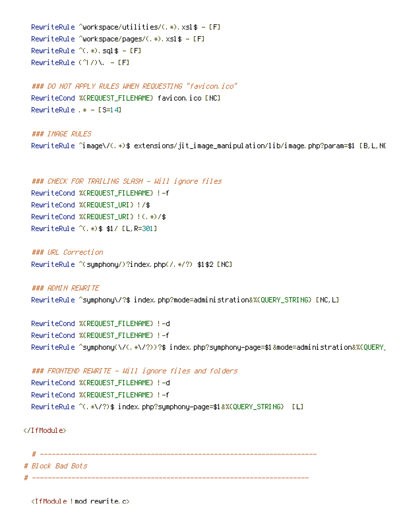RewriteRule ^workspace/utilities/(.\*).xsl\$ - [F] RewriteRule ^workspace/pages/(.\*).xsl\$ - [F] RewriteRule  $^{\wedge}$ (.\*).sql\$ - [F] RewriteRule  $(^\wedge\! I/\rangle\Lambda$ . - [F]

 $R_{\rm eff}$  -  $R_{\rm eff}$  -  $R_{\rm eff}$  -  $R_{\rm eff}$  -  $R_{\rm eff}$  -  $R_{\rm eff}$  -  $R_{\rm eff}$  -  $R_{\rm eff}$ 

### DO NOT APPLY RULES WHEN REQUESTING "favicon.ico" RewriteCond %{REQUEST\_FILENAME} favicon.ico [NC] RewriteRule  $.* -$  [S=14]

### IMAGE RULES RewriteRule ^image\/(.+)\$ extensions/jit\_image\_manipulation/lib/image.php?param=\$1 [B,L,NC

### CHECK FOR TRAILING SLASH - Will ignore files RewriteCond %{REQUEST\_FILENAME} !-f RewriteCond %{REQUEST\_URI} !/\$ RewriteCond %{REQUEST\_URI} !(.\*)/\$ RewriteRule ^(.\*)\$ \$1/ [L,R=301]

### URL Correction RewriteRule ^(symphony/)?index.php(/.\*/?) \$1\$2 [NC]

### ADMIN REWRITE RewriteRule ^symphony\/?\$ index.php?mode=administration&%{QUERY\_STRING} [NC,L]

RewriteCond %{REQUEST\_FILENAME} !-d RewriteCond %{REQUEST\_FILENAME} !-f RewriteRule ^symphony(\/(.\*\/?))?\$ index.php?symphony-page=\$1&mode=administration&%{QUERY\_

### FRONTEND REWRITE - Will ignore files and folders RewriteCond %{REQUEST\_FILENAME} !-d RewriteCond %{REQUEST\_FILENAME} !-f RewriteRule ^(.\*\/?)\$ index.php?symphony-page=\$1&%{QUERY\_STRING} [L]

</IfModule>

# ---------------------------------------------------------------------- # Block Bad Bots # ----------------------------------------------------------------------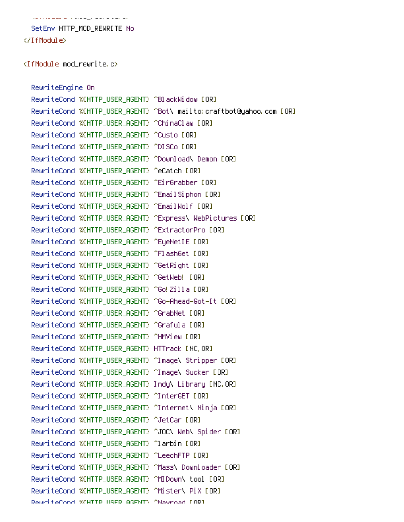is a consequence of the sequence of the sequence SetEnv HTTP\_MOD\_REWRITE No

</IfModule>

<IfModule mod\_rewrite.c>

RewriteEngine On RewriteCond %{HTTP\_USER\_AGENT} ^BlackWidow [OR] RewriteCond %{HTTP\_USER\_AGENT} ^Bot\ mailto:craftbot@yahoo.com [OR] RewriteCond %{HTTP\_USER\_AGENT} ^ChinaClaw [OR] RewriteCond %{HTTP\_USER\_AGENT} ^Custo [OR] RewriteCond %{HTTP\_USER\_AGENT} ^DISCo [OR] RewriteCond %{HTTP\_USER\_AGENT} ^Download\ Demon [OR] RewriteCond %{HTTP\_USER\_AGENT} ^eCatch [OR] RewriteCond %{HTTP\_USER\_AGENT} ^EirGrabber [OR] RewriteCond %{HTTP\_USER\_AGENT} ^EmailSiphon [OR] RewriteCond %(HTTP\_USER\_AGENT) ^EmailWolf [OR] RewriteCond %{HTTP\_USER\_AGENT} ^Express\ WebPictures [OR] RewriteCond %(HTTP\_USER\_AGENT) ^ExtractorPro [OR] RewriteCond %(HTTP\_USER\_AGENT) ^EyeNetIE [OR] RewriteCond %{HTTP\_USER\_AGENT} ^FlashGet [OR] RewriteCond %(HTTP\_USER\_AGENT) ^GetRight [OR] RewriteCond %{HTTP\_USER\_AGENT} ^GetWeb! [OR] RewriteCond %(HTTP\_USER\_AGENT) ^Go!Zilla [OR] RewriteCond %{HTTP\_USER\_AGENT} ^Go-Ahead-Got-It [OR] RewriteCond %{HTTP\_USER\_AGENT} ^GrabNet [OR] RewriteCond %(HTTP\_USER\_AGENT) ^Grafula [OR] RewriteCond %{HTTP\_USER\_AGENT} ^HMView [OR] RewriteCond %{HTTP\_USER\_AGENT} HTTrack [NC,OR] RewriteCond %{HTTP\_USER\_AGENT} ^Image\ Stripper [OR] RewriteCond %{HTTP\_USER\_AGENT} ^Image\ Sucker [OR] RewriteCond %{HTTP\_USER\_AGENT} Indy\ Library [NC,OR] RewriteCond %(HTTP\_USER\_AGENT) ^InterGET [OR] RewriteCond %{HTTP\_USER\_AGENT} ^Internet\ Ninja [OR] RewriteCond %{HTTP\_USER\_AGENT} ^JetCar [OR] RewriteCond %(HTTP\_USER\_AGENT) ^JOC\ Web\ Spider [OR] RewriteCond %(HTTP\_USER\_AGENT) ^larbin [OR] RewriteCond %(HTTP\_USER\_AGENT) ^LeechFTP [OR] RewriteCond %(HTTP\_USER\_AGENT) ^Mass\ Downloader [OR] RewriteCond %(HTTP\_USER\_AGENT) ^MIDown\ tool [OR] RewriteCond %{HTTP\_USER\_AGENT} ^Mister\ PiX [OR] RewriteCond %{HTTP\_USER\_AGENT} ^Navroad [OR]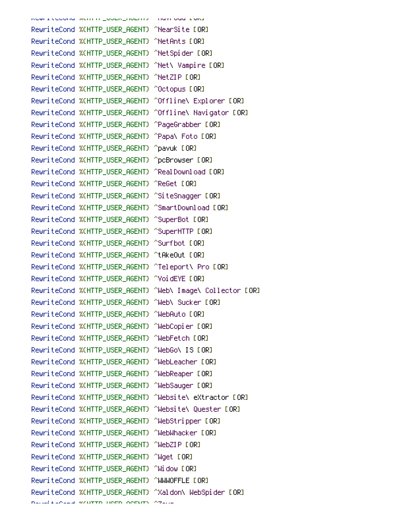RewriteCond winnin\_user\_agenty mayroad form RewriteCond %(HTTP\_USER\_AGENT) ^NearSite [OR] RewriteCond %{HTTP\_USER\_AGENT} ^NetAnts [OR] RewriteCond %{HTTP\_USER\_AGENT} ^NetSpider [OR] RewriteCond %(HTTP\_USER\_AGENT) ^Net\ Vampire [OR] RewriteCond %{HTTP\_USER\_AGENT} ^NetZIP [OR] RewriteCond %(HTTP\_USER\_AGENT) ^Octopus [OR] RewriteCond %{HTTP\_USER\_AGENT} ^Offline\ Explorer [OR] RewriteCond %{HTTP\_USER\_AGENT} ^Offline\ Navigator [OR] RewriteCond %(HTTP\_USER\_AGENT) ^PageGrabber [OR] RewriteCond %(HTTP\_USER\_AGENT) ^Papa\ Foto [OR] RewriteCond %{HTTP\_USER\_AGENT} ^pavuk [OR] RewriteCond %{HTTP\_USER\_AGENT} ^pcBrowser [OR] RewriteCond %(HTTP\_USER\_AGENT) ^RealDownload [OR] RewriteCond %{HTTP\_USER\_AGENT} ^ReGet [OR] RewriteCond %(HTTP\_USER\_AGENT) ^SiteSnagger [OR] RewriteCond %{HTTP\_USER\_AGENT} ^SmartDownload [OR] RewriteCond %(HTTP\_USER\_AGENT) ^SuperBot [OR] RewriteCond %{HTTP\_USER\_AGENT} ^SuperHTTP [OR] RewriteCond %{HTTP\_USER\_AGENT} ^Surfbot [OR] RewriteCond %(HTTP\_USER\_AGENT) ^tAkeOut [OR] RewriteCond %{HTTP\_USER\_AGENT} ^Teleport\ Pro [OR] RewriteCond %{HTTP\_USER\_AGENT} ^VoidEYE [OR] RewriteCond %{HTTP\_USER\_AGENT} ^Web\ Image\ Collector [OR] RewriteCond %{HTTP\_USER\_AGENT} ^Web\ Sucker [OR] RewriteCond %{HTTP\_USER\_AGENT} ^WebAuto [OR] RewriteCond %(HTTP\_USER\_AGENT) ^WebCopier [OR] RewriteCond %(HTTP\_USER\_AGENT) ^WebFetch [OR] RewriteCond %{HTTP\_USER\_AGENT} ^WebGo\ IS [OR] RewriteCond %(HTTP\_USER\_AGENT) ^WebLeacher [OR] RewriteCond %(HTTP\_USER\_AGENT) ^WebReaper [OR] RewriteCond %(HTTP\_USER\_AGENT) ^WebSauger [OR] RewriteCond %(HTTP\_USER\_AGENT) ^Website\ eXtractor [OR] RewriteCond %{HTTP\_USER\_AGENT} ^Website\ Quester [OR] RewriteCond %{HTTP\_USER\_AGENT} ^WebStripper [OR] RewriteCond %{HTTP\_USER\_AGENT} ^WebWhacker [OR] RewriteCond %{HTTP\_USER\_AGENT} ^WebZIP [OR] RewriteCond %{HTTP\_USER\_AGENT} ^Wget [OR] RewriteCond %{HTTP\_USER\_AGENT} ^Widow [OR] RewriteCond %{HTTP\_USER\_AGENT} ^WWWOFFLE [OR] RewriteCond %{HTTP\_USER\_AGENT} ^Xaldon\ WebSpider [OR]

```
RewriteCond %{HTTP_USER_AGENT} ^Zeus
```